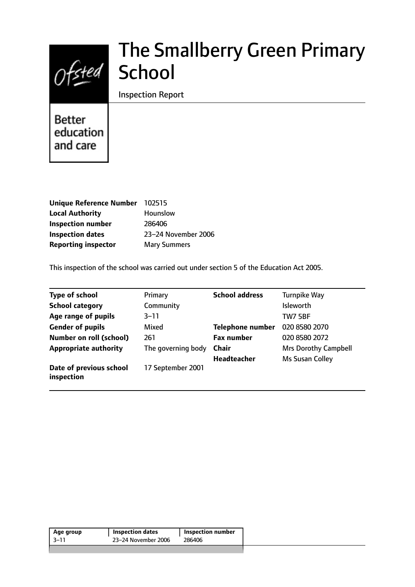# $Of$ sted

# The Smallberry Green Primary School

Inspection Report

**Better** education and care

| <b>Unique Reference Number</b> | 102515              |
|--------------------------------|---------------------|
| <b>Local Authority</b>         | <b>Hounslow</b>     |
| <b>Inspection number</b>       | 286406              |
| <b>Inspection dates</b>        | 23-24 November 2006 |
| <b>Reporting inspector</b>     | <b>Mary Summers</b> |

This inspection of the school was carried out under section 5 of the Education Act 2005.

| <b>Type of school</b>                 | Primary            | <b>School address</b>   | <b>Turnpike Way</b>         |
|---------------------------------------|--------------------|-------------------------|-----------------------------|
| <b>School category</b>                | Community          |                         | <b>Isleworth</b>            |
| Age range of pupils                   | $3 - 11$           |                         | <b>TW7 5BF</b>              |
| <b>Gender of pupils</b>               | Mixed              | <b>Telephone number</b> | 020 8580 2070               |
| <b>Number on roll (school)</b>        | 261                | <b>Fax number</b>       | 020 8580 2072               |
| <b>Appropriate authority</b>          | The governing body | <b>Chair</b>            | <b>Mrs Dorothy Campbell</b> |
|                                       |                    | <b>Headteacher</b>      | Ms Susan Colley             |
| Date of previous school<br>inspection | 17 September 2001  |                         |                             |

| Age group | <b>Inspection dates</b> | <b>Inspection number</b> |
|-----------|-------------------------|--------------------------|
| 3–11      | 23–24 November 2006     | 286406                   |
|           |                         |                          |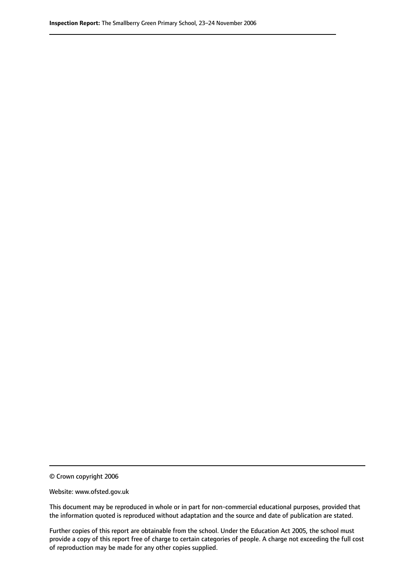© Crown copyright 2006

Website: www.ofsted.gov.uk

This document may be reproduced in whole or in part for non-commercial educational purposes, provided that the information quoted is reproduced without adaptation and the source and date of publication are stated.

Further copies of this report are obtainable from the school. Under the Education Act 2005, the school must provide a copy of this report free of charge to certain categories of people. A charge not exceeding the full cost of reproduction may be made for any other copies supplied.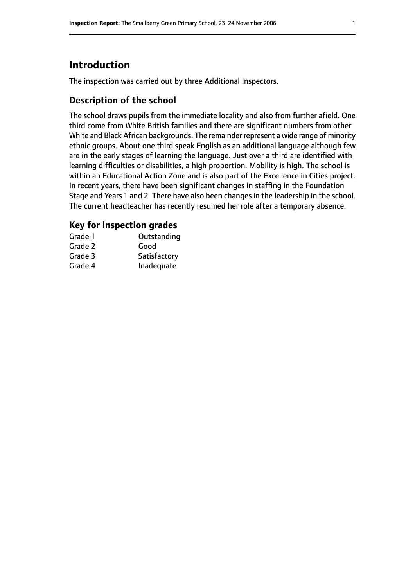# **Introduction**

The inspection was carried out by three Additional Inspectors.

## **Description of the school**

The school draws pupils from the immediate locality and also from further afield. One third come from White British families and there are significant numbers from other White and Black African backgrounds. The remainder represent a wide range of minority ethnic groups. About one third speak English as an additional language although few are in the early stages of learning the language. Just over a third are identified with learning difficulties or disabilities, a high proportion. Mobility is high. The school is within an Educational Action Zone and is also part of the Excellence in Cities project. In recent years, there have been significant changes in staffing in the Foundation Stage and Years 1 and 2. There have also been changes in the leadership in the school. The current headteacher has recently resumed her role after a temporary absence.

#### **Key for inspection grades**

| Grade 1 | Outstanding  |
|---------|--------------|
| Grade 2 | Good         |
| Grade 3 | Satisfactory |
| Grade 4 | Inadequate   |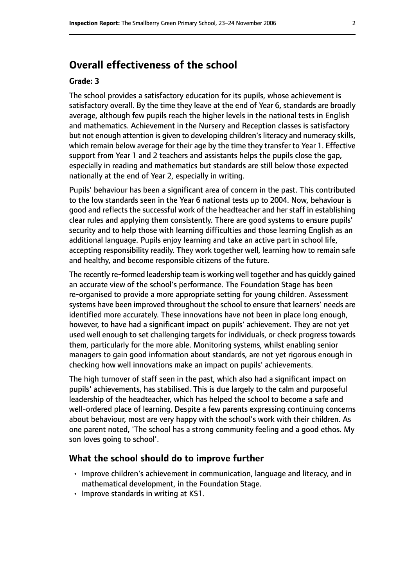# **Overall effectiveness of the school**

#### **Grade: 3**

The school provides a satisfactory education for its pupils, whose achievement is satisfactory overall. By the time they leave at the end of Year 6, standards are broadly average, although few pupils reach the higher levels in the national tests in English and mathematics. Achievement in the Nursery and Reception classes is satisfactory but not enough attention is given to developing children's literacy and numeracy skills, which remain below average for their age by the time they transfer to Year 1. Effective support from Year 1 and 2 teachers and assistants helps the pupils close the gap, especially in reading and mathematics but standards are still below those expected nationally at the end of Year 2, especially in writing.

Pupils' behaviour has been a significant area of concern in the past. This contributed to the low standards seen in the Year 6 national tests up to 2004. Now, behaviour is good and reflects the successful work of the headteacher and her staff in establishing clear rules and applying them consistently. There are good systems to ensure pupils' security and to help those with learning difficulties and those learning English as an additional language. Pupils enjoy learning and take an active part in school life, accepting responsibility readily. They work together well, learning how to remain safe and healthy, and become responsible citizens of the future.

The recently re-formed leadership team is working well together and has quickly gained an accurate view of the school's performance. The Foundation Stage has been re-organised to provide a more appropriate setting for young children. Assessment systems have been improved throughout the school to ensure that learners' needs are identified more accurately. These innovations have not been in place long enough, however, to have had a significant impact on pupils' achievement. They are not yet used well enough to set challenging targets for individuals, or check progress towards them, particularly for the more able. Monitoring systems, whilst enabling senior managers to gain good information about standards, are not yet rigorous enough in checking how well innovations make an impact on pupils' achievements.

The high turnover of staff seen in the past, which also had a significant impact on pupils' achievements, has stabilised. This is due largely to the calm and purposeful leadership of the headteacher, which has helped the school to become a safe and well-ordered place of learning. Despite a few parents expressing continuing concerns about behaviour, most are very happy with the school's work with their children. As one parent noted, 'The school has a strong community feeling and a good ethos. My son loves going to school'.

#### **What the school should do to improve further**

- Improve children's achievement in communication, language and literacy, and in mathematical development, in the Foundation Stage.
- Improve standards in writing at KS1.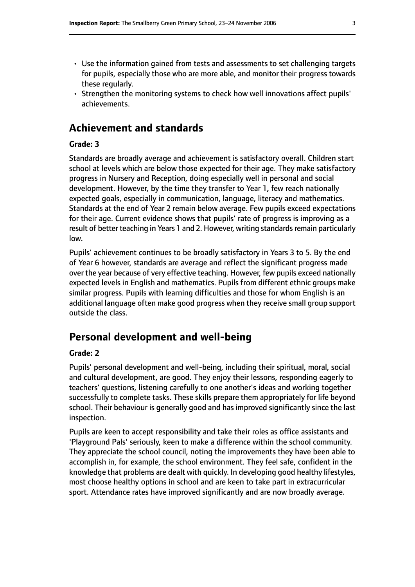- Use the information gained from tests and assessments to set challenging targets for pupils, especially those who are more able, and monitor their progress towards these regularly.
- Strengthen the monitoring systems to check how well innovations affect pupils' achievements.

# **Achievement and standards**

#### **Grade: 3**

Standards are broadly average and achievement is satisfactory overall. Children start school at levels which are below those expected for their age. They make satisfactory progress in Nursery and Reception, doing especially well in personal and social development. However, by the time they transfer to Year 1, few reach nationally expected goals, especially in communication, language, literacy and mathematics. Standards at the end of Year 2 remain below average. Few pupils exceed expectations for their age. Current evidence shows that pupils' rate of progress is improving as a result of better teaching in Years 1 and 2. However, writing standards remain particularly low.

Pupils' achievement continues to be broadly satisfactory in Years 3 to 5. By the end of Year 6 however, standards are average and reflect the significant progress made over the year because of very effective teaching. However, few pupils exceed nationally expected levels in English and mathematics. Pupils from different ethnic groups make similar progress. Pupils with learning difficulties and those for whom English is an additional language often make good progress when they receive small group support outside the class.

# **Personal development and well-being**

#### **Grade: 2**

Pupils' personal development and well-being, including their spiritual, moral, social and cultural development, are good. They enjoy their lessons, responding eagerly to teachers' questions, listening carefully to one another's ideas and working together successfully to complete tasks. These skills prepare them appropriately for life beyond school. Their behaviour is generally good and has improved significantly since the last inspection.

Pupils are keen to accept responsibility and take their roles as office assistants and 'Playground Pals' seriously, keen to make a difference within the school community. They appreciate the school council, noting the improvements they have been able to accomplish in, for example, the school environment. They feel safe, confident in the knowledge that problems are dealt with quickly. In developing good healthy lifestyles, most choose healthy options in school and are keen to take part in extracurricular sport. Attendance rates have improved significantly and are now broadly average.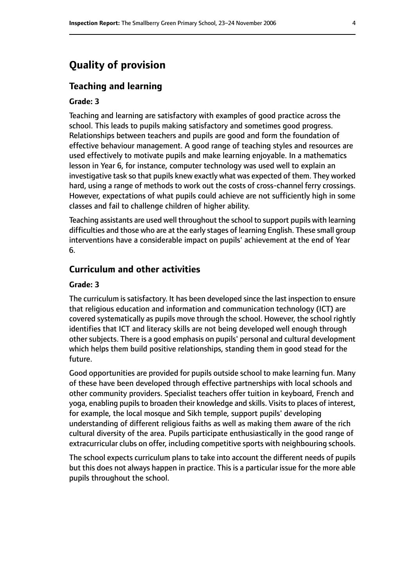# **Quality of provision**

#### **Teaching and learning**

#### **Grade: 3**

Teaching and learning are satisfactory with examples of good practice across the school. This leads to pupils making satisfactory and sometimes good progress. Relationships between teachers and pupils are good and form the foundation of effective behaviour management. A good range of teaching styles and resources are used effectively to motivate pupils and make learning enjoyable. In a mathematics lesson in Year 6, for instance, computer technology was used well to explain an investigative task so that pupils knew exactly what was expected of them. They worked hard, using a range of methods to work out the costs of cross-channel ferry crossings. However, expectations of what pupils could achieve are not sufficiently high in some classes and fail to challenge children of higher ability.

Teaching assistants are used well throughout the school to support pupils with learning difficulties and those who are at the early stages of learning English. These small group interventions have a considerable impact on pupils' achievement at the end of Year 6.

#### **Curriculum and other activities**

#### **Grade: 3**

The curriculum is satisfactory. It has been developed since the last inspection to ensure that religious education and information and communication technology (ICT) are covered systematically as pupils move through the school. However, the school rightly identifies that ICT and literacy skills are not being developed well enough through other subjects. There is a good emphasis on pupils' personal and cultural development which helps them build positive relationships, standing them in good stead for the future.

Good opportunities are provided for pupils outside school to make learning fun. Many of these have been developed through effective partnerships with local schools and other community providers. Specialist teachers offer tuition in keyboard, French and yoga, enabling pupils to broaden their knowledge and skills. Visits to places of interest, for example, the local mosque and Sikh temple, support pupils' developing understanding of different religious faiths as well as making them aware of the rich cultural diversity of the area. Pupils participate enthusiastically in the good range of extracurricular clubs on offer, including competitive sports with neighbouring schools.

The school expects curriculum plans to take into account the different needs of pupils but this does not always happen in practice. This is a particular issue for the more able pupils throughout the school.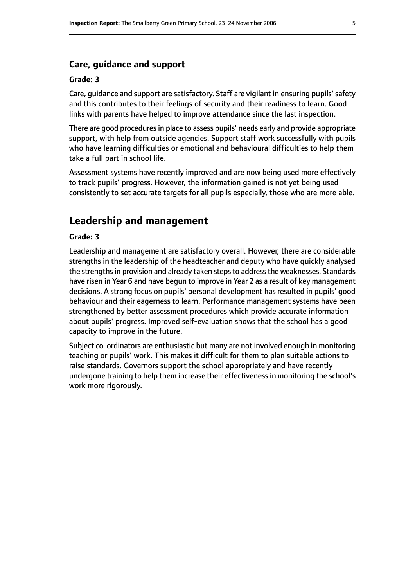#### **Care, guidance and support**

#### **Grade: 3**

Care, guidance and support are satisfactory. Staff are vigilant in ensuring pupils' safety and this contributes to their feelings of security and their readiness to learn. Good links with parents have helped to improve attendance since the last inspection.

There are good procedures in place to assess pupils' needs early and provide appropriate support, with help from outside agencies. Support staff work successfully with pupils who have learning difficulties or emotional and behavioural difficulties to help them take a full part in school life.

Assessment systems have recently improved and are now being used more effectively to track pupils' progress. However, the information gained is not yet being used consistently to set accurate targets for all pupils especially, those who are more able.

#### **Leadership and management**

#### **Grade: 3**

Leadership and management are satisfactory overall. However, there are considerable strengths in the leadership of the headteacher and deputy who have quickly analysed the strengths in provision and already taken steps to address the weaknesses. Standards have risen in Year 6 and have begun to improve in Year 2 as a result of key management decisions. A strong focus on pupils' personal development has resulted in pupils' good behaviour and their eagerness to learn. Performance management systems have been strengthened by better assessment procedures which provide accurate information about pupils' progress. Improved self-evaluation shows that the school has a good capacity to improve in the future.

Subject co-ordinators are enthusiastic but many are not involved enough in monitoring teaching or pupils' work. This makes it difficult for them to plan suitable actions to raise standards. Governors support the school appropriately and have recently undergone training to help them increase their effectivenessin monitoring the school's work more rigorously.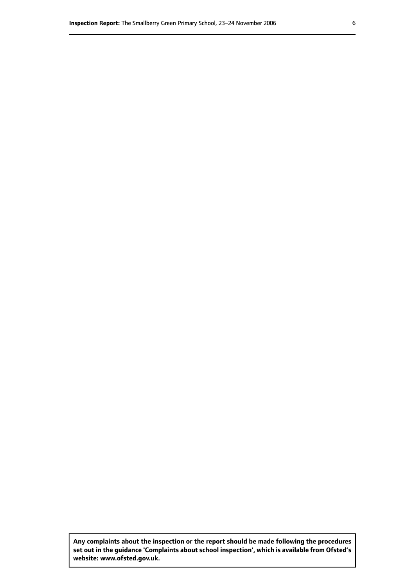**Any complaints about the inspection or the report should be made following the procedures set out inthe guidance 'Complaints about school inspection', whichis available from Ofsted's website: www.ofsted.gov.uk.**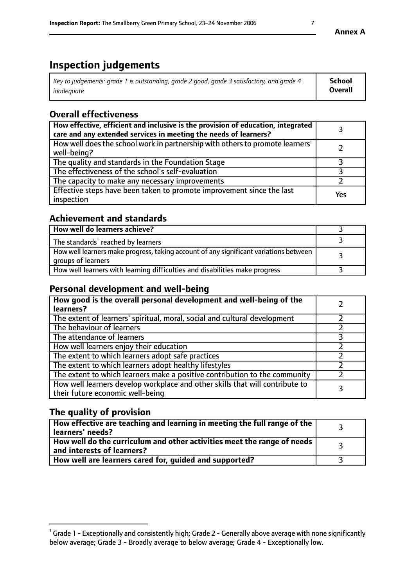# **Inspection judgements**

| Key to judgements: grade 1 is outstanding, grade 2 good, grade 3 satisfactory, and grade 4 | School         |
|--------------------------------------------------------------------------------------------|----------------|
| inadeauate                                                                                 | <b>Overall</b> |

# **Overall effectiveness**

| How effective, efficient and inclusive is the provision of education, integrated<br>care and any extended services in meeting the needs of learners? |     |
|------------------------------------------------------------------------------------------------------------------------------------------------------|-----|
| How well does the school work in partnership with others to promote learners'<br>well-being?                                                         |     |
| The quality and standards in the Foundation Stage                                                                                                    |     |
| The effectiveness of the school's self-evaluation                                                                                                    |     |
| The capacity to make any necessary improvements                                                                                                      |     |
| Effective steps have been taken to promote improvement since the last<br>inspection                                                                  | Yes |

#### **Achievement and standards**

| How well do learners achieve?                                                                               |  |
|-------------------------------------------------------------------------------------------------------------|--|
| The standards <sup>1</sup> reached by learners                                                              |  |
| How well learners make progress, taking account of any significant variations between<br>groups of learners |  |
| How well learners with learning difficulties and disabilities make progress                                 |  |

#### **Personal development and well-being**

| How good is the overall personal development and well-being of the<br>learners?                                  |  |
|------------------------------------------------------------------------------------------------------------------|--|
| The extent of learners' spiritual, moral, social and cultural development                                        |  |
| The behaviour of learners                                                                                        |  |
| The attendance of learners                                                                                       |  |
| How well learners enjoy their education                                                                          |  |
| The extent to which learners adopt safe practices                                                                |  |
| The extent to which learners adopt healthy lifestyles                                                            |  |
| The extent to which learners make a positive contribution to the community                                       |  |
| How well learners develop workplace and other skills that will contribute to<br>their future economic well-being |  |

## **The quality of provision**

| How effective are teaching and learning in meeting the full range of the<br>  learners' needs?               |  |
|--------------------------------------------------------------------------------------------------------------|--|
| How well do the curriculum and other activities meet the range of needs<br>$\mid$ and interests of learners? |  |
| How well are learners cared for, quided and supported?                                                       |  |

**Annex A**

 $^1$  Grade 1 - Exceptionally and consistently high; Grade 2 - Generally above average with none significantly below average; Grade 3 - Broadly average to below average; Grade 4 - Exceptionally low.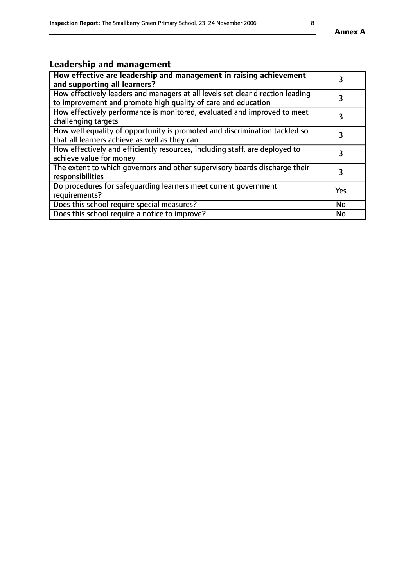# **Leadership and management**

| How effective are leadership and management in raising achievement<br>and supporting all learners?                                              |           |
|-------------------------------------------------------------------------------------------------------------------------------------------------|-----------|
| How effectively leaders and managers at all levels set clear direction leading<br>to improvement and promote high quality of care and education |           |
| How effectively performance is monitored, evaluated and improved to meet<br>challenging targets                                                 | 3         |
| How well equality of opportunity is promoted and discrimination tackled so<br>that all learners achieve as well as they can                     |           |
| How effectively and efficiently resources, including staff, are deployed to<br>achieve value for money                                          | 3         |
| The extent to which governors and other supervisory boards discharge their<br>responsibilities                                                  | 3         |
| Do procedures for safequarding learners meet current government<br>requirements?                                                                | Yes       |
| Does this school require special measures?                                                                                                      | No        |
| Does this school require a notice to improve?                                                                                                   | <b>No</b> |